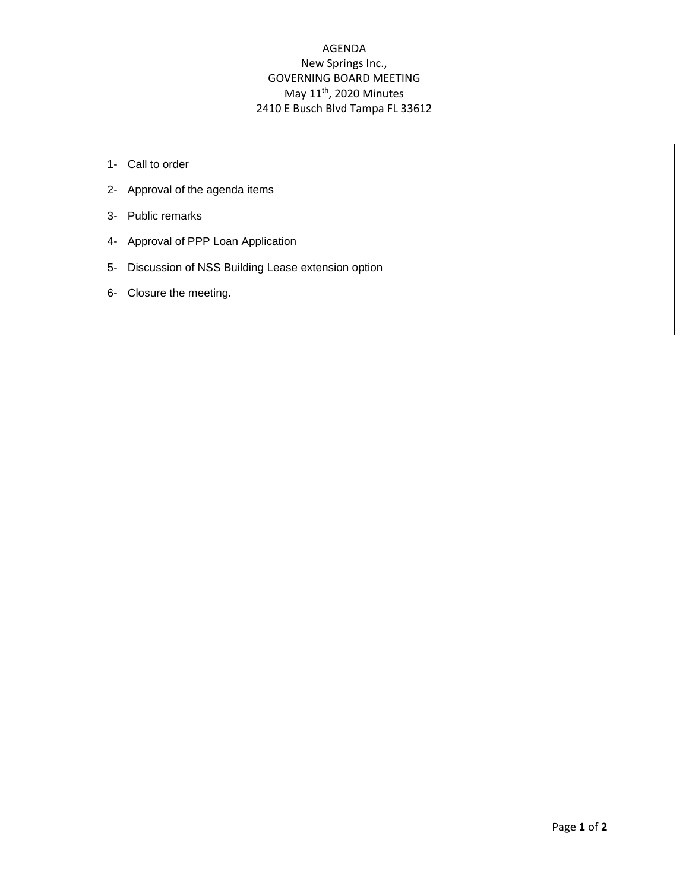## AGENDA New Springs Inc., GOVERNING BOARD MEETING May  $11^{\text{th}}$ , 2020 Minutes 2410 E Busch Blvd Tampa FL 33612

- 1- Call to order
- 2- Approval of the agenda items
- 3- Public remarks
- 4- Approval of PPP Loan Application
- 5- Discussion of NSS Building Lease extension option
- 6- Closure the meeting.